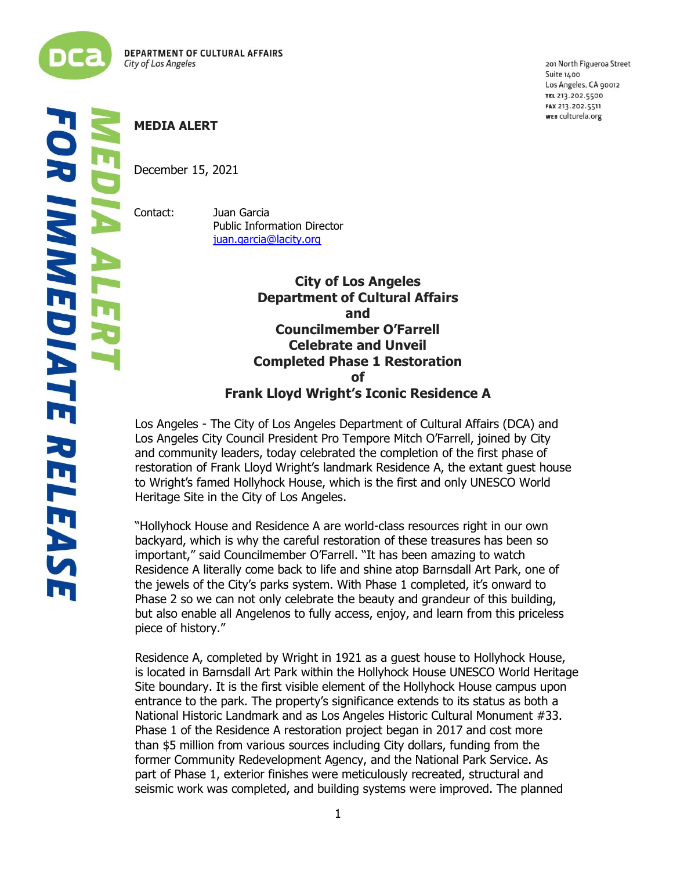

ľ í 201 North Figueroa Street Suite 1400 Los Angeles, CA 90012 TEL 213.202.5500 FAX 213.202.5511 WEB culturela.org

## **MEDIA ALERT**

December 15, 2021

Contact: Juan Garcia Public Information Director [juan.garcia@lacity.org](mailto:juan.garcia@lacity.org)

> **City of Los Angeles Department of Cultural Affairs and Councilmember O'Farrell Celebrate and Unveil Completed Phase 1 Restoration of Frank Lloyd Wright's Iconic Residence A**

Los Angeles - The City of Los Angeles Department of Cultural Affairs (DCA) and Los Angeles City Council President Pro Tempore Mitch O'Farrell, joined by City and community leaders, today celebrated the completion of the first phase of restoration of Frank Lloyd Wright's landmark Residence A, the extant guest house to Wright's famed Hollyhock House, which is the first and only UNESCO World Heritage Site in the City of Los Angeles.

"Hollyhock House and Residence A are world-class resources right in our own backyard, which is why the careful restoration of these treasures has been so important," said Councilmember O'Farrell. "It has been amazing to watch Residence A literally come back to life and shine atop Barnsdall Art Park, one of the jewels of the City's parks system. With Phase 1 completed, it's onward to Phase 2 so we can not only celebrate the beauty and grandeur of this building, but also enable all Angelenos to fully access, enjoy, and learn from this priceless piece of history."

Residence A, completed by Wright in 1921 as a guest house to Hollyhock House, is located in Barnsdall Art Park within the Hollyhock House UNESCO World Heritage Site boundary. It is the first visible element of the Hollyhock House campus upon entrance to the park. The property's significance extends to its status as both a National Historic Landmark and as Los Angeles Historic Cultural Monument #33. Phase 1 of the Residence A restoration project began in 2017 and cost more than \$5 million from various sources including City dollars, funding from the former Community Redevelopment Agency, and the National Park Service. As part of Phase 1, exterior finishes were meticulously recreated, structural and seismic work was completed, and building systems were improved. The planned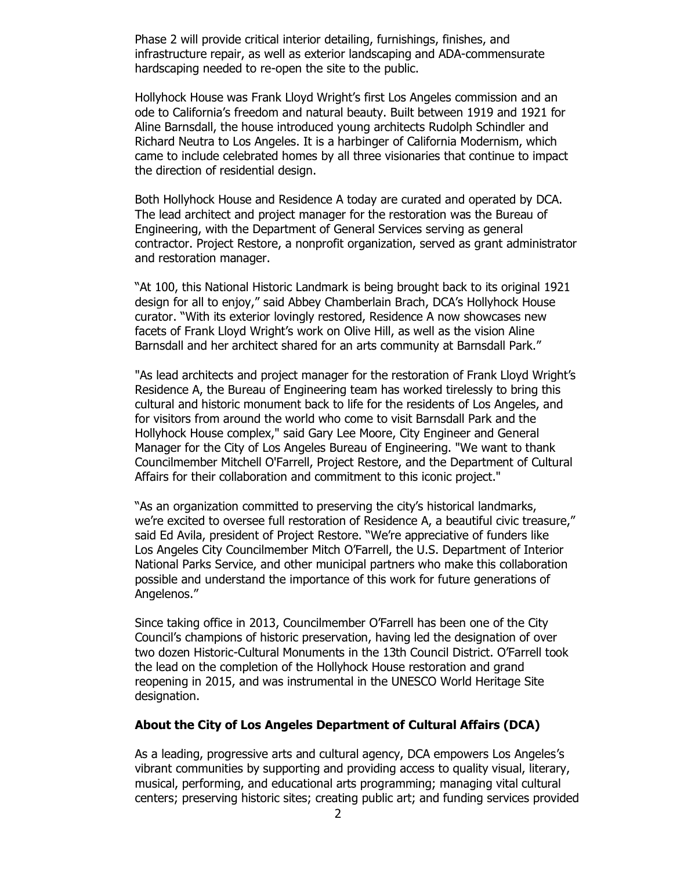Phase 2 will provide critical interior detailing, furnishings, finishes, and infrastructure repair, as well as exterior landscaping and ADA‐commensurate hardscaping needed to re-open the site to the public.

Hollyhock House was Frank Lloyd Wright's first Los Angeles commission and an ode to California's freedom and natural beauty. Built between 1919 and 1921 for Aline Barnsdall, the house introduced young architects Rudolph Schindler and Richard Neutra to Los Angeles. It is a harbinger of California Modernism, which came to include celebrated homes by all three visionaries that continue to impact the direction of residential design.

Both Hollyhock House and Residence A today are curated and operated by DCA. The lead architect and project manager for the restoration was the Bureau of Engineering, with the Department of General Services serving as general contractor. Project Restore, a nonprofit organization, served as grant administrator and restoration manager.

"At 100, this National Historic Landmark is being brought back to its original 1921 design for all to enjoy," said Abbey Chamberlain Brach, DCA's Hollyhock House curator. "With its exterior lovingly restored, Residence A now showcases new facets of Frank Lloyd Wright's work on Olive Hill, as well as the vision Aline Barnsdall and her architect shared for an arts community at Barnsdall Park."

"As lead architects and project manager for the restoration of Frank Lloyd Wright's Residence A, the Bureau of Engineering team has worked tirelessly to bring this cultural and historic monument back to life for the residents of Los Angeles, and for visitors from around the world who come to visit Barnsdall Park and the Hollyhock House complex," said Gary Lee Moore, City Engineer and General Manager for the City of Los Angeles Bureau of Engineering. "We want to thank Councilmember Mitchell O'Farrell, Project Restore, and the Department of Cultural Affairs for their collaboration and commitment to this iconic project."

"As an organization committed to preserving the city's historical landmarks, we're excited to oversee full restoration of Residence A, a beautiful civic treasure," said Ed Avila, president of Project Restore. "We're appreciative of funders like Los Angeles City Councilmember Mitch O'Farrell, the U.S. Department of Interior National Parks Service, and other municipal partners who make this collaboration possible and understand the importance of this work for future generations of Angelenos."

Since taking office in 2013, Councilmember O'Farrell has been one of the City Council's champions of historic preservation, having led the designation of over two dozen Historic-Cultural Monuments in the 13th Council District. O'Farrell took the lead on the completion of the Hollyhock House restoration and grand reopening in 2015, and was instrumental in the UNESCO World Heritage Site designation.

## **About the City of Los Angeles Department of Cultural Affairs (DCA)**

As a leading, progressive arts and cultural agency, DCA empowers Los Angeles's vibrant communities by supporting and providing access to quality visual, literary, musical, performing, and educational arts programming; managing vital cultural centers; preserving historic sites; creating public art; and funding services provided